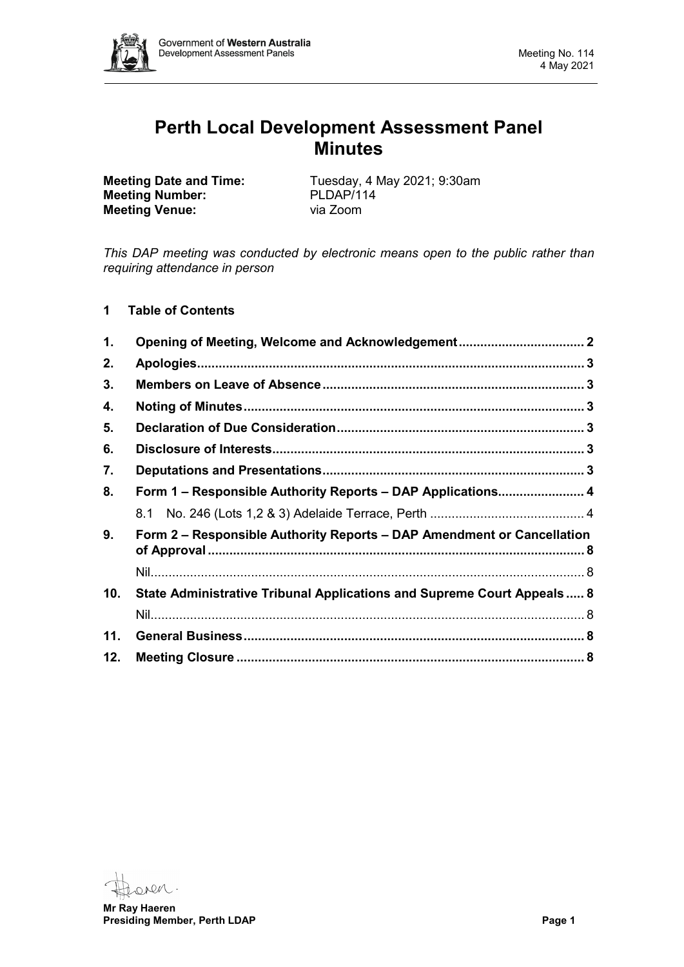

# **Perth Local Development Assessment Panel Minutes**

**Meeting Number:** PLDAP/11<br> **Meeting Venue:** via Zoom **Meeting Venue:** 

**Meeting Date and Time:** Tuesday, 4 May 2021; 9:30am<br> **Meeting Number:** PLDAP/114

*This DAP meeting was conducted by electronic means open to the public rather than requiring attendance in person*

# **1 Table of Contents**

| 1.  |                                                                         |  |
|-----|-------------------------------------------------------------------------|--|
| 2.  |                                                                         |  |
| 3.  |                                                                         |  |
| 4.  |                                                                         |  |
| 5.  |                                                                         |  |
| 6.  |                                                                         |  |
| 7.  |                                                                         |  |
| 8.  | Form 1 – Responsible Authority Reports – DAP Applications 4             |  |
|     |                                                                         |  |
| 9.  | Form 2 - Responsible Authority Reports - DAP Amendment or Cancellation  |  |
|     |                                                                         |  |
| 10. | State Administrative Tribunal Applications and Supreme Court Appeals  8 |  |
|     |                                                                         |  |
| 11. |                                                                         |  |
| 12. |                                                                         |  |

oven.

**Mr Ray Haeren Presiding Member, Perth LDAP Page 1**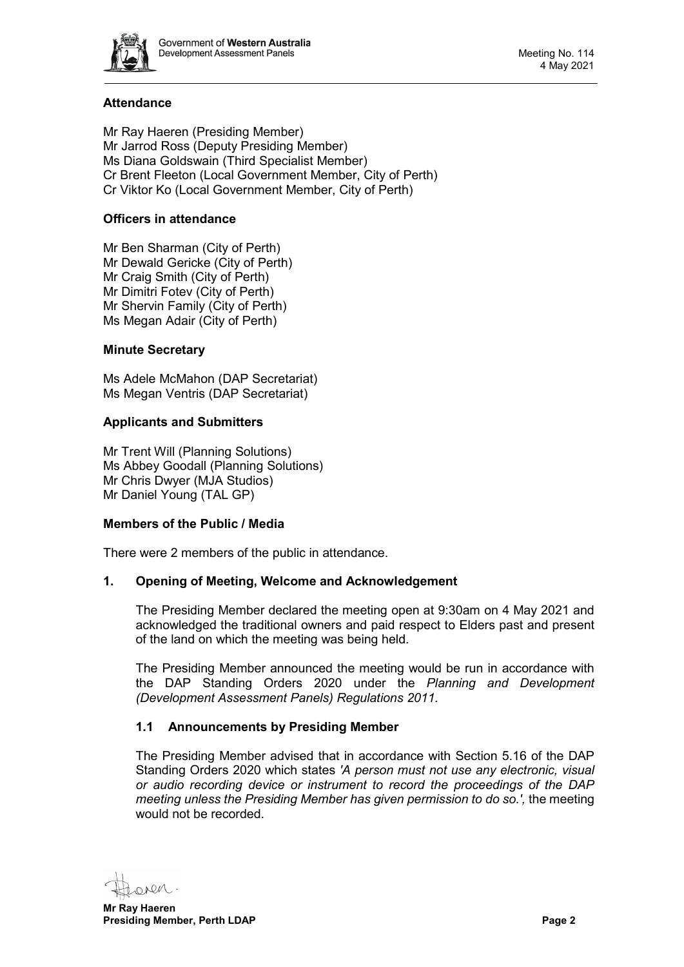

# **Attendance**

Mr Ray Haeren (Presiding Member) Mr Jarrod Ross (Deputy Presiding Member) Ms Diana Goldswain (Third Specialist Member) Cr Brent Fleeton (Local Government Member, City of Perth) Cr Viktor Ko (Local Government Member, City of Perth)

# **Officers in attendance**

Mr Ben Sharman (City of Perth) Mr Dewald Gericke (City of Perth) Mr Craig Smith (City of Perth) Mr Dimitri Fotev (City of Perth) Mr Shervin Family (City of Perth) Ms Megan Adair (City of Perth)

# **Minute Secretary**

Ms Adele McMahon (DAP Secretariat) Ms Megan Ventris (DAP Secretariat)

# **Applicants and Submitters**

Mr Trent Will (Planning Solutions) Ms Abbey Goodall (Planning Solutions) Mr Chris Dwyer (MJA Studios) Mr Daniel Young (TAL GP)

## **Members of the Public / Media**

<span id="page-1-0"></span>There were 2 members of the public in attendance.

## **1. Opening of Meeting, Welcome and Acknowledgement**

The Presiding Member declared the meeting open at 9:30am on 4 May 2021 and acknowledged the traditional owners and paid respect to Elders past and present of the land on which the meeting was being held.

The Presiding Member announced the meeting would be run in accordance with the DAP Standing Orders 2020 under the *Planning and Development (Development Assessment Panels) Regulations 2011.*

## **1.1 Announcements by Presiding Member**

The Presiding Member advised that in accordance with Section 5.16 of the DAP Standing Orders 2020 which states *'A person must not use any electronic, visual or audio recording device or instrument to record the proceedings of the DAP meeting unless the Presiding Member has given permission to do so.',* the meeting would not be recorded.

ren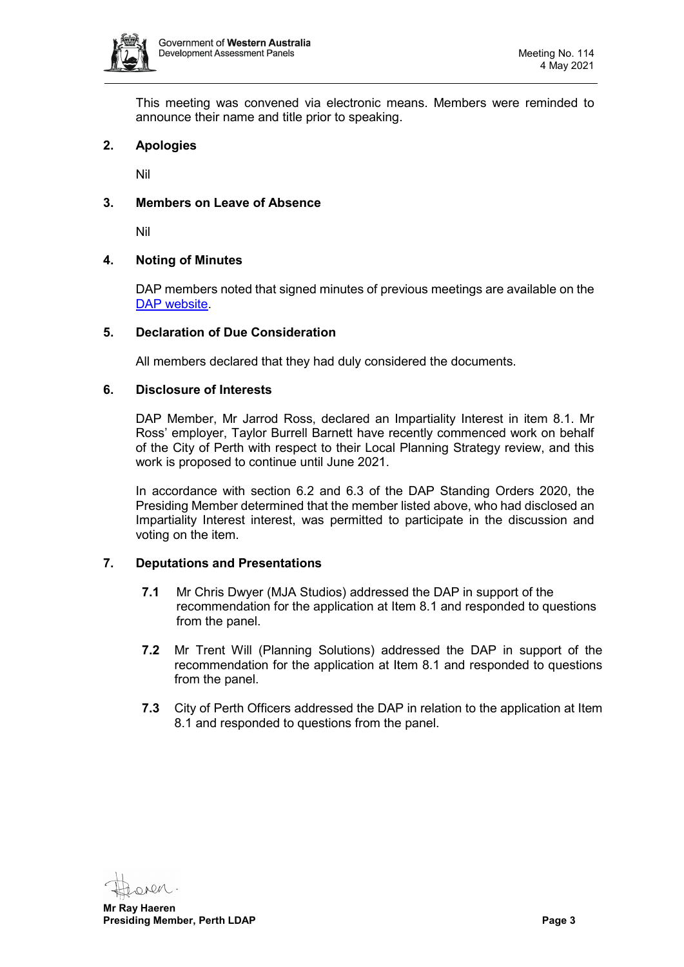

This meeting was convened via electronic means. Members were reminded to announce their name and title prior to speaking.

## <span id="page-2-0"></span>**2. Apologies**

Nil

# <span id="page-2-1"></span>**3. Members on Leave of Absence**

Nil

## <span id="page-2-2"></span>**4. Noting of Minutes**

DAP members noted that signed minutes of previous meetings are available on the [DAP website.](https://www.dplh.wa.gov.au/about/development-assessment-panels/daps-agendas-and-minutes)

#### <span id="page-2-3"></span>**5. Declaration of Due Consideration**

All members declared that they had duly considered the documents.

#### <span id="page-2-4"></span>**6. Disclosure of Interests**

DAP Member, Mr Jarrod Ross, declared an Impartiality Interest in item 8.1. Mr Ross' employer, Taylor Burrell Barnett have recently commenced work on behalf of the City of Perth with respect to their Local Planning Strategy review, and this work is proposed to continue until June 2021.

In accordance with section 6.2 and 6.3 of the DAP Standing Orders 2020, the Presiding Member determined that the member listed above, who had disclosed an Impartiality Interest interest, was permitted to participate in the discussion and voting on the item.

## <span id="page-2-5"></span>**7. Deputations and Presentations**

- **7.1** Mr Chris Dwyer (MJA Studios) addressed the DAP in support of the recommendation for the application at Item 8.1 and responded to questions from the panel.
- **7.2** Mr Trent Will (Planning Solutions) addressed the DAP in support of the recommendation for the application at Item 8.1 and responded to questions from the panel.
- **7.3** City of Perth Officers addressed the DAP in relation to the application at Item 8.1 and responded to questions from the panel.

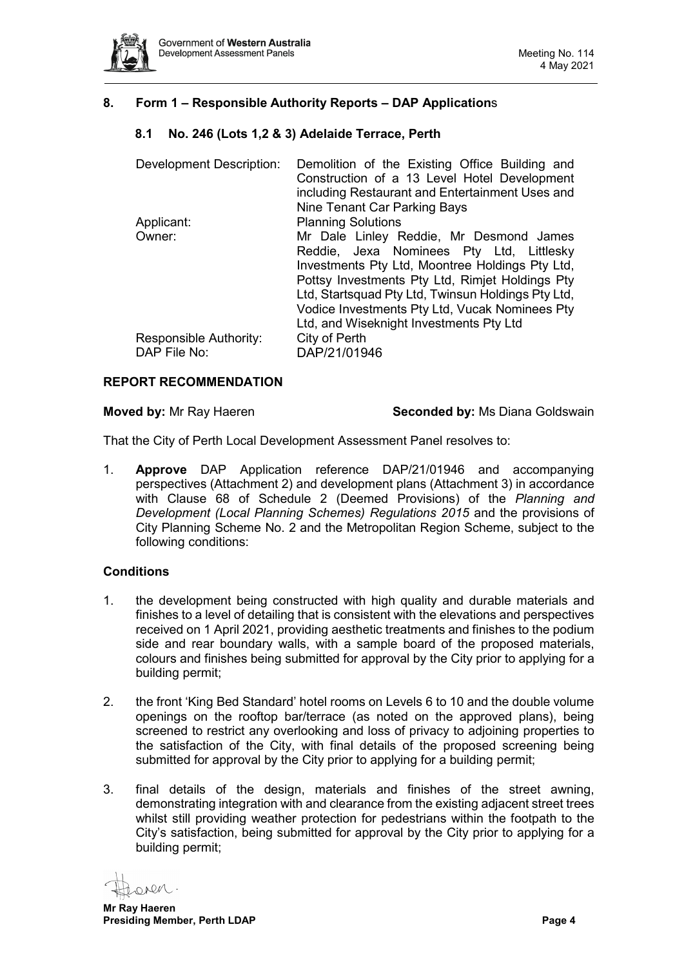

# <span id="page-3-1"></span><span id="page-3-0"></span>**8. Form 1 – Responsible Authority Reports – DAP Application**s

## **8.1 No. 246 (Lots 1,2 & 3) Adelaide Terrace, Perth**

| <b>Development Description:</b> | Demolition of the Existing Office Building and<br>Construction of a 13 Level Hotel Development |
|---------------------------------|------------------------------------------------------------------------------------------------|
|                                 | including Restaurant and Entertainment Uses and<br>Nine Tenant Car Parking Bays                |
| Applicant:                      | <b>Planning Solutions</b>                                                                      |
| Owner:                          | Mr Dale Linley Reddie, Mr Desmond James                                                        |
|                                 | Reddie, Jexa Nominees Pty Ltd, Littlesky                                                       |
|                                 | Investments Pty Ltd, Moontree Holdings Pty Ltd,                                                |
|                                 | Pottsy Investments Pty Ltd, Rimjet Holdings Pty                                                |
|                                 | Ltd, Startsquad Pty Ltd, Twinsun Holdings Pty Ltd,                                             |
|                                 | Vodice Investments Pty Ltd, Vucak Nominees Pty                                                 |
|                                 | Ltd, and Wiseknight Investments Pty Ltd                                                        |
| Responsible Authority:          | City of Perth                                                                                  |
| DAP File No:                    | DAP/21/01946                                                                                   |

#### **REPORT RECOMMENDATION**

**Moved by:** Mr Ray Haeren **Seconded by: Ms Diana Goldswain** 

That the City of Perth Local Development Assessment Panel resolves to:

1. **Approve** DAP Application reference DAP/21/01946 and accompanying perspectives (Attachment 2) and development plans (Attachment 3) in accordance with Clause 68 of Schedule 2 (Deemed Provisions) of the *Planning and Development (Local Planning Schemes) Regulations 2015* and the provisions of City Planning Scheme No. 2 and the Metropolitan Region Scheme, subject to the following conditions:

## **Conditions**

- 1. the development being constructed with high quality and durable materials and finishes to a level of detailing that is consistent with the elevations and perspectives received on 1 April 2021, providing aesthetic treatments and finishes to the podium side and rear boundary walls, with a sample board of the proposed materials, colours and finishes being submitted for approval by the City prior to applying for a building permit;
- 2. the front 'King Bed Standard' hotel rooms on Levels 6 to 10 and the double volume openings on the rooftop bar/terrace (as noted on the approved plans), being screened to restrict any overlooking and loss of privacy to adjoining properties to the satisfaction of the City, with final details of the proposed screening being submitted for approval by the City prior to applying for a building permit;
- 3. final details of the design, materials and finishes of the street awning, demonstrating integration with and clearance from the existing adjacent street trees whilst still providing weather protection for pedestrians within the footpath to the City's satisfaction, being submitted for approval by the City prior to applying for a building permit;

 $-MQAO$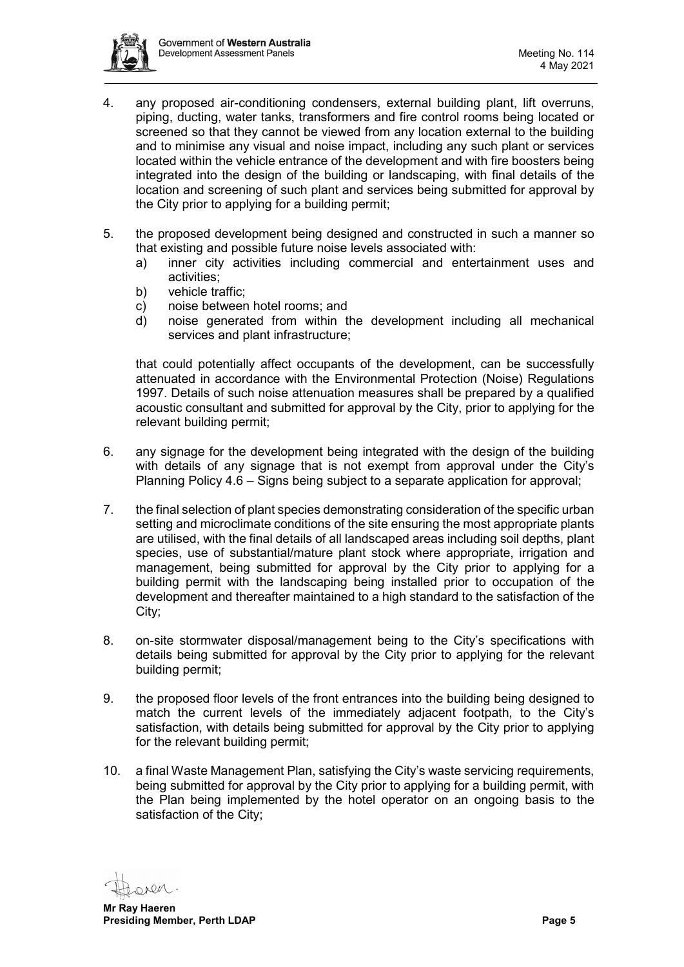

- 4. any proposed air-conditioning condensers, external building plant, lift overruns, piping, ducting, water tanks, transformers and fire control rooms being located or screened so that they cannot be viewed from any location external to the building and to minimise any visual and noise impact, including any such plant or services located within the vehicle entrance of the development and with fire boosters being integrated into the design of the building or landscaping, with final details of the location and screening of such plant and services being submitted for approval by the City prior to applying for a building permit;
- 5. the proposed development being designed and constructed in such a manner so that existing and possible future noise levels associated with:
	- a) inner city activities including commercial and entertainment uses and activities;
	- b) vehicle traffic;
	- c) noise between hotel rooms; and
	- d) noise generated from within the development including all mechanical services and plant infrastructure;

that could potentially affect occupants of the development, can be successfully attenuated in accordance with the Environmental Protection (Noise) Regulations 1997. Details of such noise attenuation measures shall be prepared by a qualified acoustic consultant and submitted for approval by the City, prior to applying for the relevant building permit;

- 6. any signage for the development being integrated with the design of the building with details of any signage that is not exempt from approval under the City's Planning Policy 4.6 – Signs being subject to a separate application for approval;
- 7. the final selection of plant species demonstrating consideration of the specific urban setting and microclimate conditions of the site ensuring the most appropriate plants are utilised, with the final details of all landscaped areas including soil depths, plant species, use of substantial/mature plant stock where appropriate, irrigation and management, being submitted for approval by the City prior to applying for a building permit with the landscaping being installed prior to occupation of the development and thereafter maintained to a high standard to the satisfaction of the City;
- 8. on-site stormwater disposal/management being to the City's specifications with details being submitted for approval by the City prior to applying for the relevant building permit;
- 9. the proposed floor levels of the front entrances into the building being designed to match the current levels of the immediately adjacent footpath, to the City's satisfaction, with details being submitted for approval by the City prior to applying for the relevant building permit;
- 10. a final Waste Management Plan, satisfying the City's waste servicing requirements, being submitted for approval by the City prior to applying for a building permit, with the Plan being implemented by the hotel operator on an ongoing basis to the satisfaction of the City;

**DV**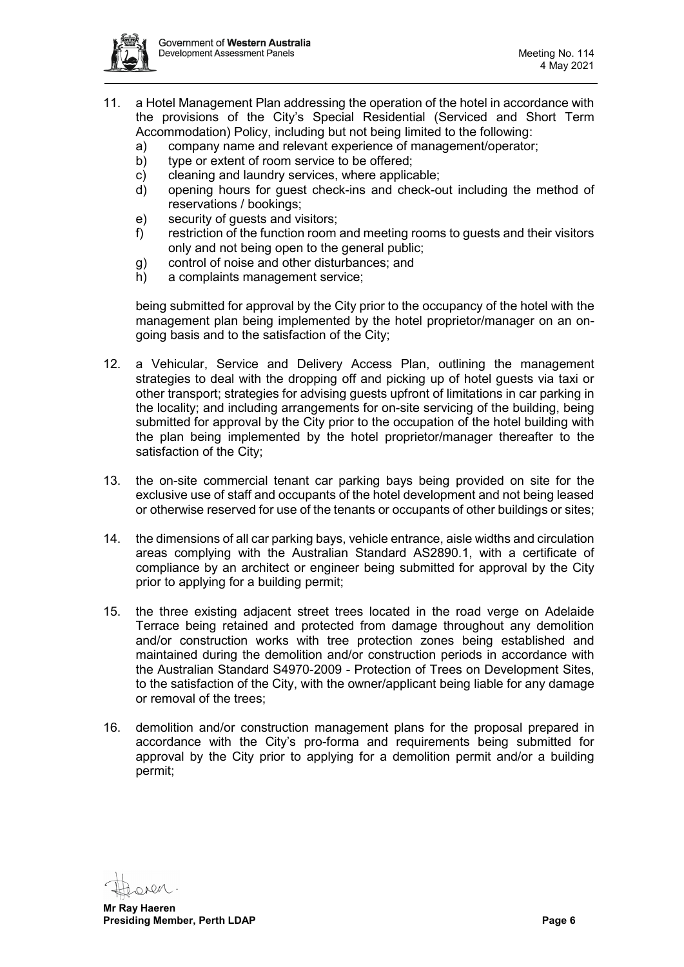

- 11. a Hotel Management Plan addressing the operation of the hotel in accordance with the provisions of the City's Special Residential (Serviced and Short Term Accommodation) Policy, including but not being limited to the following:
	- a) company name and relevant experience of management/operator;
	- b) type or extent of room service to be offered:
	- c) cleaning and laundry services, where applicable;
	- d) opening hours for guest check-ins and check-out including the method of reservations / bookings;
	- e) security of guests and visitors;
	- f) restriction of the function room and meeting rooms to guests and their visitors only and not being open to the general public;
	- g) control of noise and other disturbances; and
	- h) a complaints management service;

being submitted for approval by the City prior to the occupancy of the hotel with the management plan being implemented by the hotel proprietor/manager on an ongoing basis and to the satisfaction of the City;

- 12. a Vehicular, Service and Delivery Access Plan, outlining the management strategies to deal with the dropping off and picking up of hotel guests via taxi or other transport; strategies for advising guests upfront of limitations in car parking in the locality; and including arrangements for on-site servicing of the building, being submitted for approval by the City prior to the occupation of the hotel building with the plan being implemented by the hotel proprietor/manager thereafter to the satisfaction of the City;
- 13. the on-site commercial tenant car parking bays being provided on site for the exclusive use of staff and occupants of the hotel development and not being leased or otherwise reserved for use of the tenants or occupants of other buildings or sites;
- 14. the dimensions of all car parking bays, vehicle entrance, aisle widths and circulation areas complying with the Australian Standard AS2890.1, with a certificate of compliance by an architect or engineer being submitted for approval by the City prior to applying for a building permit;
- 15. the three existing adjacent street trees located in the road verge on Adelaide Terrace being retained and protected from damage throughout any demolition and/or construction works with tree protection zones being established and maintained during the demolition and/or construction periods in accordance with the Australian Standard S4970-2009 - Protection of Trees on Development Sites, to the satisfaction of the City, with the owner/applicant being liable for any damage or removal of the trees;
- 16. demolition and/or construction management plans for the proposal prepared in accordance with the City's pro-forma and requirements being submitted for approval by the City prior to applying for a demolition permit and/or a building permit;

**DV**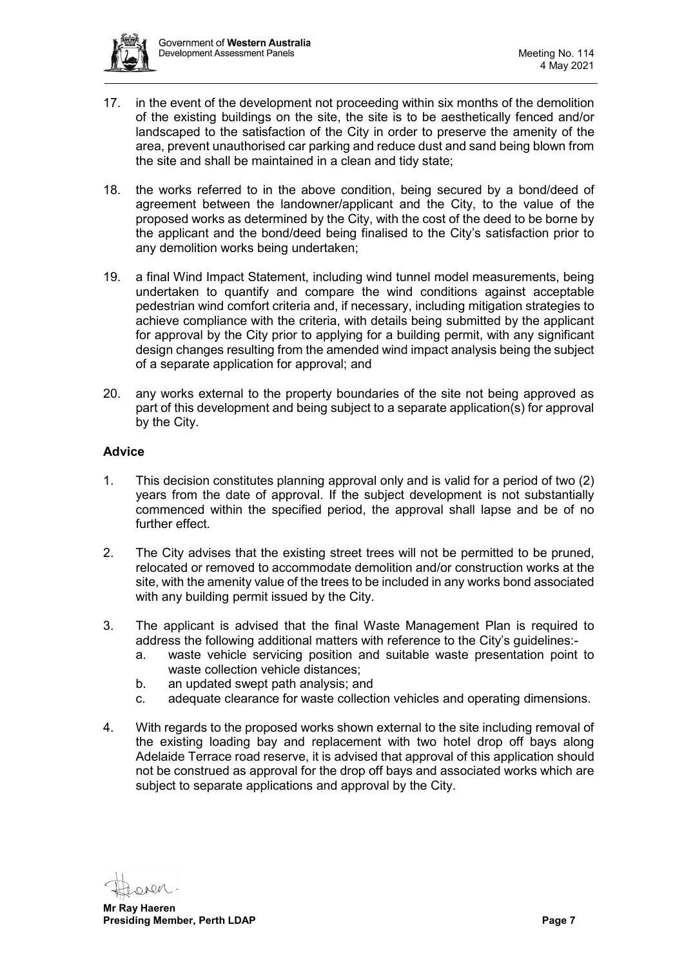

- 17. in the event of the development not proceeding within six months of the demolition of the existing buildings on the site, the site is to be aesthetically fenced and/or landscaped to the satisfaction of the City in order to preserve the amenity of the area, prevent unauthorised car parking and reduce dust and sand being blown from the site and shall be maintained in a clean and tidy state;
- 18. the works referred to in the above condition, being secured by a bond/deed of agreement between the landowner/applicant and the City, to the value of the proposed works as determined by the City, with the cost of the deed to be borne by the applicant and the bond/deed being finalised to the City's satisfaction prior to any demolition works being undertaken;
- 19. a final Wind Impact Statement, including wind tunnel model measurements, being undertaken to quantify and compare the wind conditions against acceptable pedestrian wind comfort criteria and, if necessary, including mitigation strategies to achieve compliance with the criteria, with details being submitted by the applicant for approval by the City prior to applying for a building permit, with any significant design changes resulting from the amended wind impact analysis being the subject of a separate application for approval; and
- 20. any works external to the property boundaries of the site not being approved as part of this development and being subject to a separate application(s) for approval by the City.

## **Advice**

- 1. This decision constitutes planning approval only and is valid for a period of two (2) years from the date of approval. If the subject development is not substantially commenced within the specified period, the approval shall lapse and be of no further effect.
- 2. The City advises that the existing street trees will not be permitted to be pruned, relocated or removed to accommodate demolition and/or construction works at the site, with the amenity value of the trees to be included in any works bond associated with any building permit issued by the City.
- 3. The applicant is advised that the final Waste Management Plan is required to address the following additional matters with reference to the City's guidelines:
	- a. waste vehicle servicing position and suitable waste presentation point to waste collection vehicle distances;
	- b. an updated swept path analysis; and
	- c. adequate clearance for waste collection vehicles and operating dimensions.
- 4. With regards to the proposed works shown external to the site including removal of the existing loading bay and replacement with two hotel drop off bays along Adelaide Terrace road reserve, it is advised that approval of this application should not be construed as approval for the drop off bays and associated works which are subject to separate applications and approval by the City.

nen